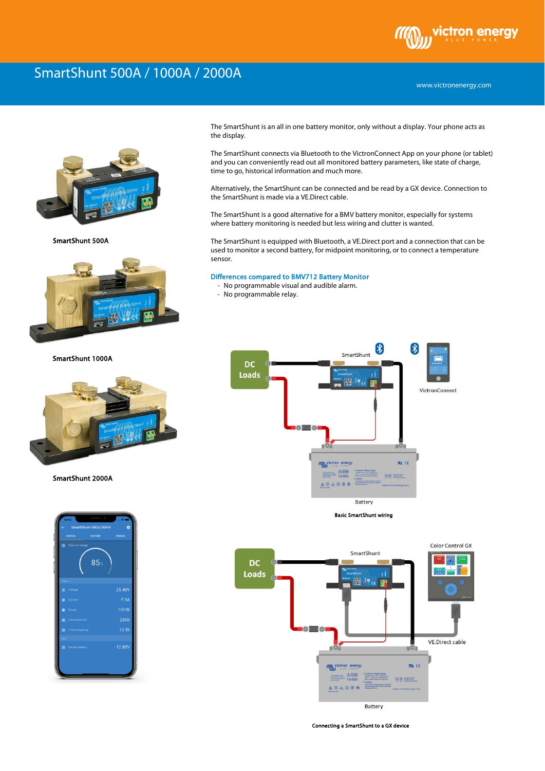## ctron energy

www.victronenergy.com

## SmartShunt 500A / 1000A / 2000A



SmartShunt 500A



SmartShunt 1000A



SmartShunt 2000A



The SmartShunt is an all in one battery monitor, only without a display. Your phone acts as the display.

The SmartShunt connects via Bluetooth to the VictronConnect App on your phone (or tablet) and you can conveniently read out all monitored battery parameters, like state of charge, time to go, historical information and much more.

Alternatively, the SmartShunt can be connected and be read by a GX device. Connection to the SmartShunt is made via a VE.Direct cable.

The SmartShunt is a good alternative for a BMV battery monitor, especially for systems where battery monitoring is needed but less wiring and clutter is wanted.

The SmartShunt is equipped with Bluetooth, a VE.Direct port and a connection that can be used to monitor a second battery, for midpoint monitoring, or to connect a temperature sensor.

## Differences compared to BMV712 Battery Monitor

- No programmable visual and audible alarm.
- No programmable relay.





Battery

Connecting a SmartShunt to a GX device